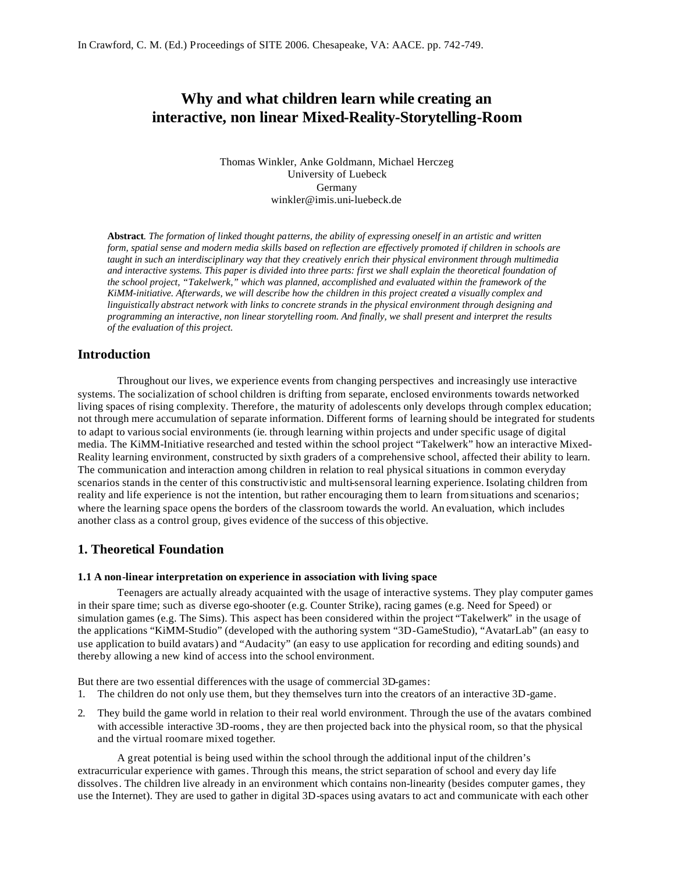# **Why and what children learn while creating an interactive, non linear Mixed-Reality-Storytelling-Room**

Thomas Winkler, Anke Goldmann, Michael Herczeg University of Luebeck Germany winkler@imis.uni-luebeck.de

**Abstract***. The formation of linked thought patterns, the ability of expressing oneself in an artistic and written form, spatial sense and modern media skills based on reflection are effectively promoted if children in schools are taught in such an interdisciplinary way that they creatively enrich their physical environment through multimedia and interactive systems. This paper is divided into three parts: first we shall explain the theoretical foundation of the school project, "Takelwerk," which was planned, accomplished and evaluated within the framework of the KiMM-initiative. Afterwards, we will describe how the children in this project created a visually complex and linguistically abstract network with links to concrete strands in the physical environment through designing and programming an interactive, non linear storytelling room. And finally, we shall present and interpret the results of the evaluation of this project.*

### **Introduction**

Throughout our lives, we experience events from changing perspectives and increasingly use interactive systems. The socialization of school children is drifting from separate, enclosed environments towards networked living spaces of rising complexity. Therefore, the maturity of adolescents only develops through complex education; not through mere accumulation of separate information. Different forms of learning should be integrated for students to adapt to varioussocial environments (ie. through learning within projects and under specific usage of digital media. The KiMM-Initiative researched and tested within the school project "Takelwerk" how an interactive Mixed-Reality learning environment, constructed by sixth graders of a comprehensive school, affected their ability to learn. The communication and interaction among children in relation to real physical situations in common everyday scenarios stands in the center of this constructivistic and multi-sensoral learning experience. Isolating children from reality and life experience is not the intention, but rather encouraging them to learn from situations and scenarios; where the learning space opens the borders of the classroom towards the world. An evaluation, which includes another class as a control group, gives evidence of the success of this objective.

### **1. Theoretical Foundation**

#### **1.1 A non-linear interpretation on experience in association with living space**

Teenagers are actually already acquainted with the usage of interactive systems. They play computer games in their spare time; such as diverse ego-shooter (e.g. Counter Strike), racing games (e.g. Need for Speed) or simulation games (e.g. The Sims). This aspect has been considered within the project "Takelwerk" in the usage of the applications "KiMM-Studio" (developed with the authoring system "3D-GameStudio), "AvatarLab" (an easy to use application to build avatars) and "Audacity" (an easy to use application for recording and editing sounds) and thereby allowing a new kind of access into the school environment.

But there are two essential differences with the usage of commercial 3D-games:

- 1. The children do not only use them, but they themselves turn into the creators of an interactive 3D-game.
- 2. They build the game world in relation to their real world environment. Through the use of the avatars combined with accessible interactive 3D-rooms, they are then projected back into the physical room, so that the physical and the virtual room are mixed together.

A great potential is being used within the school through the additional input of the children's extracurricular experience with games. Through this means, the strict separation of school and every day life dissolves. The children live already in an environment which contains non-linearity (besides computer games, they use the Internet). They are used to gather in digital 3D-spaces using avatars to act and communicate with each other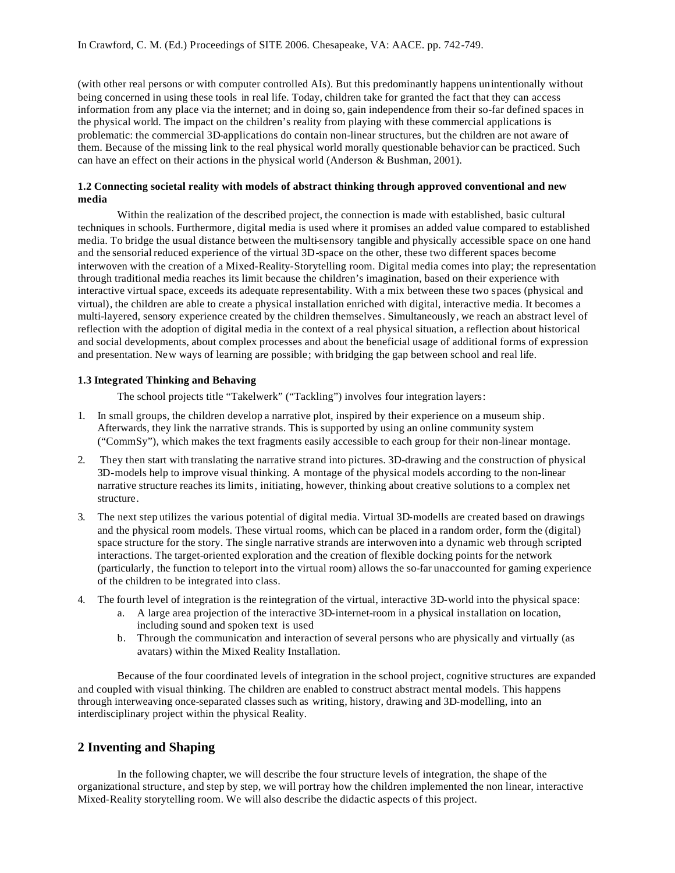(with other real persons or with computer controlled AIs). But this predominantly happens unintentionally without being concerned in using these tools in real life. Today, children take for granted the fact that they can access information from any place via the internet; and in doing so, gain independence from their so-far defined spaces in the physical world. The impact on the children's reality from playing with these commercial applications is problematic: the commercial 3D-applications do contain non-linear structures, but the children are not aware of them. Because of the missing link to the real physical world morally questionable behavior can be practiced. Such can have an effect on their actions in the physical world (Anderson & Bushman, 2001).

#### **1.2 Connecting societal reality with models of abstract thinking through approved conventional and new media**

Within the realization of the described project, the connection is made with established, basic cultural techniques in schools. Furthermore, digital media is used where it promises an added value compared to established media. To bridge the usual distance between the multi-sensory tangible and physically accessible space on one hand and the sensorial reduced experience of the virtual 3D-space on the other, these two different spaces become interwoven with the creation of a Mixed-Reality-Storytelling room. Digital media comes into play; the representation through traditional media reaches its limit because the children's imagination, based on their experience with interactive virtual space, exceeds its adequate representability. With a mix between these two spaces (physical and virtual), the children are able to create a physical installation enriched with digital, interactive media. It becomes a multi-layered, sensory experience created by the children themselves. Simultaneously, we reach an abstract level of reflection with the adoption of digital media in the context of a real physical situation, a reflection about historical and social developments, about complex processes and about the beneficial usage of additional forms of expression and presentation. New ways of learning are possible; with bridging the gap between school and real life.

#### **1.3 Integrated Thinking and Behaving**

The school projects title "Takelwerk" ("Tackling") involves four integration layers:

- 1. In small groups, the children develop a narrative plot, inspired by their experience on a museum ship. Afterwards, they link the narrative strands. This is supported by using an online community system ("CommSy"), which makes the text fragments easily accessible to each group for their non-linear montage.
- 2. They then start with translating the narrative strand into pictures. 3D-drawing and the construction of physical 3D-models help to improve visual thinking. A montage of the physical models according to the non-linear narrative structure reaches its limits, initiating, however, thinking about creative solutions to a complex net structure.
- 3. The next step utilizes the various potential of digital media. Virtual 3D-modells are created based on drawings and the physical room models. These virtual rooms, which can be placed in a random order, form the (digital) space structure for the story. The single narrative strands are interwoven into a dynamic web through scripted interactions. The target-oriented exploration and the creation of flexible docking points for the network (particularly, the function to teleport into the virtual room) allows the so-far unaccounted for gaming experience of the children to be integrated into class.
- 4. The fourth level of integration is the reintegration of the virtual, interactive 3D-world into the physical space:
	- a. A large area projection of the interactive 3D-internet-room in a physical installation on location, including sound and spoken text is used
	- b. Through the communication and interaction of several persons who are physically and virtually (as avatars) within the Mixed Reality Installation.

Because of the four coordinated levels of integration in the school project, cognitive structures are expanded and coupled with visual thinking. The children are enabled to construct abstract mental models. This happens through interweaving once-separated classes such as writing, history, drawing and 3D-modelling, into an interdisciplinary project within the physical Reality.

### **2 Inventing and Shaping**

In the following chapter, we will describe the four structure levels of integration, the shape of the organizational structure, and step by step, we will portray how the children implemented the non linear, interactive Mixed-Reality storytelling room. We will also describe the didactic aspects of this project.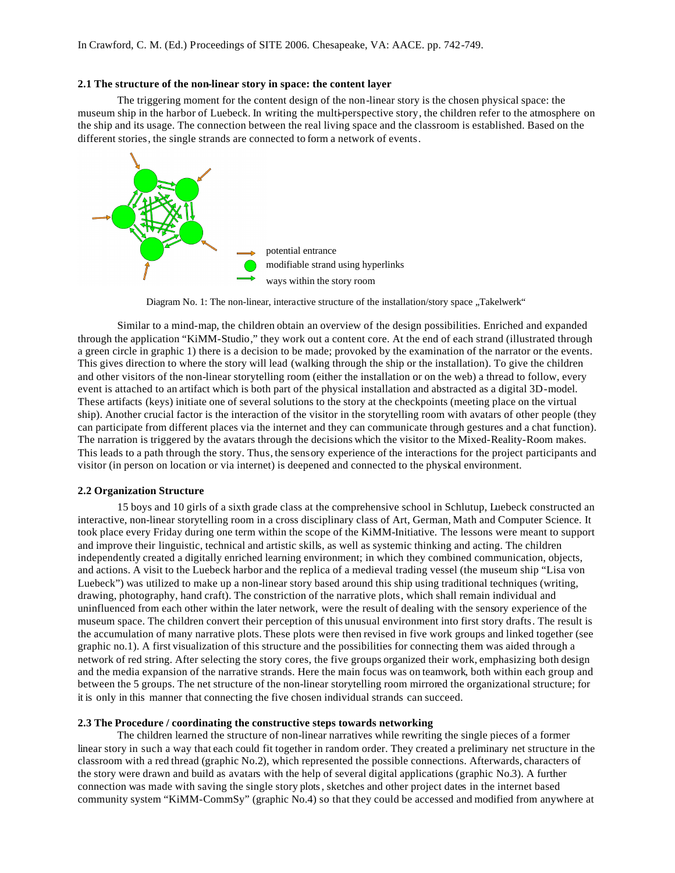#### **2.1 The structure of the non-linear story in space: the content layer**

The triggering moment for the content design of the non-linear story is the chosen physical space: the museum ship in the harbor of Luebeck. In writing the multi-perspective story, the children refer to the atmosphere on the ship and its usage. The connection between the real living space and the classroom is established. Based on the different stories, the single strands are connected to form a network of events.



Diagram No. 1: The non-linear, interactive structure of the installation/story space "Takelwerk"

Similar to a mind-map, the children obtain an overview of the design possibilities. Enriched and expanded through the application "KiMM-Studio," they work out a content core. At the end of each strand (illustrated through a green circle in graphic 1) there is a decision to be made; provoked by the examination of the narrator or the events. This gives direction to where the story will lead (walking through the ship or the installation). To give the children and other visitors of the non-linear storytelling room (either the installation or on the web) a thread to follow, every event is attached to an artifact which is both part of the physical installation and abstracted as a digital 3D-model. These artifacts (keys) initiate one of several solutions to the story at the checkpoints (meeting place on the virtual ship). Another crucial factor is the interaction of the visitor in the storytelling room with avatars of other people (they can participate from different places via the internet and they can communicate through gestures and a chat function). The narration is triggered by the avatars through the decisions which the visitor to the Mixed-Reality-Room makes. This leads to a path through the story. Thus, the sensory experience of the interactions for the project participants and visitor (in person on location or via internet) is deepened and connected to the physical environment.

#### **2.2 Organization Structure**

15 boys and 10 girls of a sixth grade class at the comprehensive school in Schlutup, Luebeck constructed an interactive, non-linear storytelling room in a cross disciplinary class of Art, German, Math and Computer Science. It took place every Friday during one term within the scope of the KiMM-Initiative. The lessons were meant to support and improve their linguistic, technical and artistic skills, as well as systemic thinking and acting. The children independently created a digitally enriched learning environment; in which they combined communication, objects, and actions. A visit to the Luebeck harbor and the replica of a medieval trading vessel (the museum ship "Lisa von Luebeck") was utilized to make up a non-linear story based around this ship using traditional techniques (writing, drawing, photography, hand craft). The constriction of the narrative plots, which shall remain individual and uninfluenced from each other within the later network, were the result of dealing with the sensory experience of the museum space. The children convert their perception of this unusual environment into first story drafts. The result is the accumulation of many narrative plots. These plots were then revised in five work groups and linked together (see graphic no.1). A first visualization of this structure and the possibilities for connecting them was aided through a network of red string. After selecting the story cores, the five groups organized their work, emphasizing both design and the media expansion of the narrative strands. Here the main focus was on teamwork, both within each group and between the 5 groups. The net structure of the non-linear storytelling room mirrored the organizational structure; for it is only in this manner that connecting the five chosen individual strands can succeed.

#### **2.3 The Procedure / coordinating the constructive steps towards networking**

The children learned the structure of non-linear narratives while rewriting the single pieces of a former linear story in such a way that each could fit together in random order. They created a preliminary net structure in the classroom with a red thread (graphic No.2), which represented the possible connections. Afterwards, characters of the story were drawn and build as avatars with the help of several digital applications (graphic No.3). A further connection was made with saving the single story plots, sketches and other project dates in the internet based community system "KiMM-CommSy" (graphic No.4) so that they could be accessed and modified from anywhere at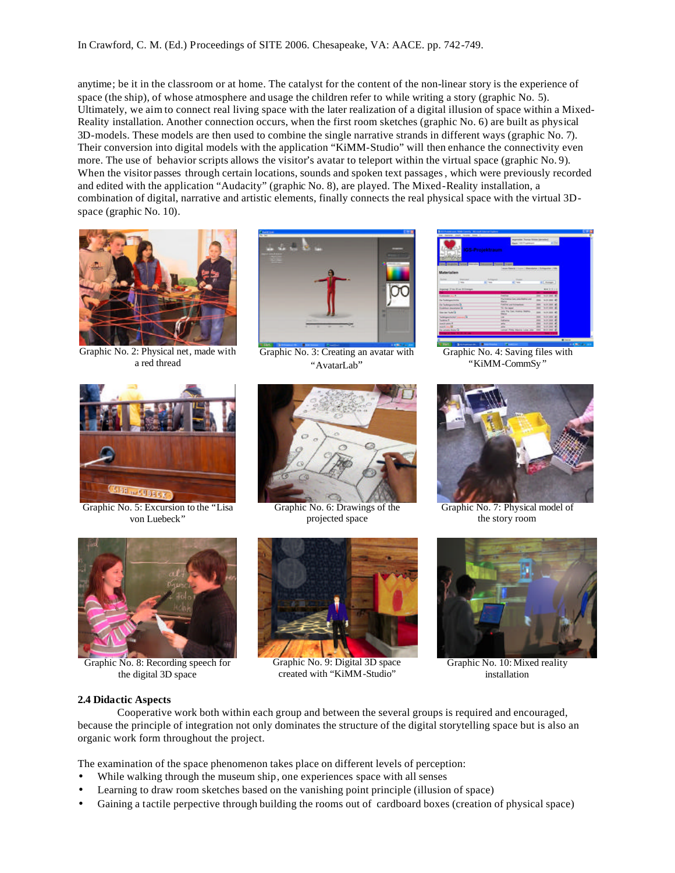anytime; be it in the classroom or at home. The catalyst for the content of the non-linear story is the experience of space (the ship), of whose atmosphere and usage the children refer to while writing a story (graphic No. 5). Ultimately, we aim to connect real living space with the later realization of a digital illusion of space within a Mixed-Reality installation. Another connection occurs, when the first room sketches (graphic No. 6) are built as physical 3D-models. These models are then used to combine the single narrative strands in different ways (graphic No. 7). Their conversion into digital models with the application "KiMM-Studio" will then enhance the connectivity even more. The use of behavior scripts allows the visitor's avatar to teleport within the virtual space (graphic No. 9). When the visitor passes through certain locations, sounds and spoken text passages, which were previously recorded and edited with the application "Audacity" (graphic No. 8), are played. The Mixed-Reality installation, a combination of digital, narrative and artistic elements, finally connects the real physical space with the virtual 3Dspace (graphic No. 10).



Graphic No. 2: Physical net, made with a red thread



Graphic No. 3: Creating an avatar with "AvatarLab"



Graphic No. 4: Saving files with "KiMM-CommSy "



Graphic No. 5: Excursion to the "Lisa von Luebeck"



Graphic No. 6: Drawings of the projected space



Graphic No. 7: Physical model of the story room



Graphic No. 8: Recording speech for the digital 3D space



Graphic No. 9: Digital 3D space created with "KiMM-Studio"



Graphic No. 10: Mixed reality installation

#### **2.4 Didactic Aspects**

Cooperative work both within each group and between the several groups is required and encouraged, because the principle of integration not only dominates the structure of the digital storytelling space but is also an organic work form throughout the project.

The examination of the space phenomenon takes place on different levels of perception:

- While walking through the museum ship, one experiences space with all senses
- Learning to draw room sketches based on the vanishing point principle (illusion of space)
- Gaining a tactile perpective through building the rooms out of cardboard boxes (creation of physical space)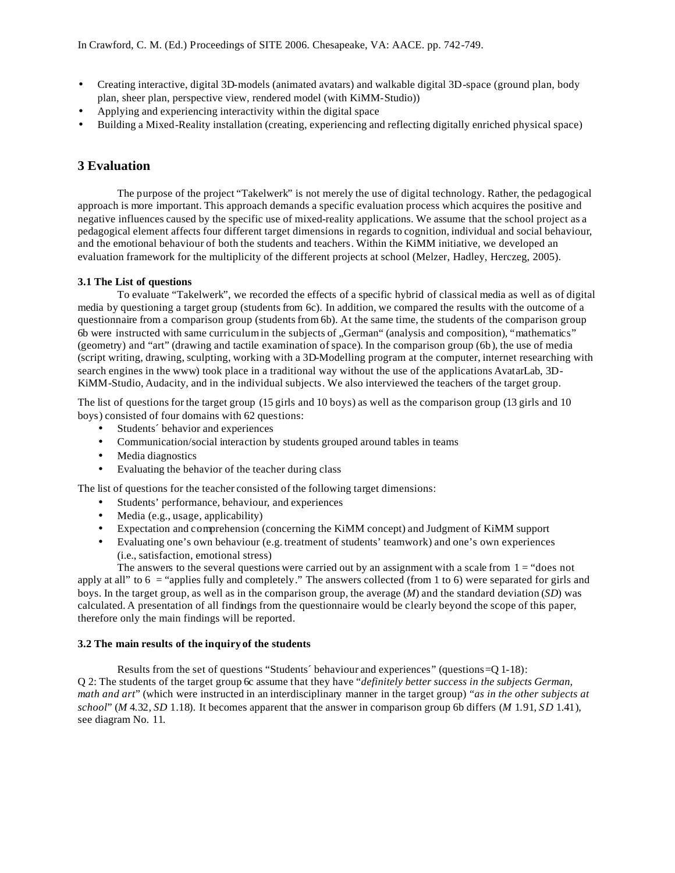- Creating interactive, digital 3D-models (animated avatars) and walkable digital 3D-space (ground plan, body plan, sheer plan, perspective view, rendered model (with KiMM-Studio))
- Applying and experiencing interactivity within the digital space
- Building a Mixed-Reality installation (creating, experiencing and reflecting digitally enriched physical space)

## **3 Evaluation**

The purpose of the project "Takelwerk" is not merely the use of digital technology. Rather, the pedagogical approach is more important. This approach demands a specific evaluation process which acquires the positive and negative influences caused by the specific use of mixed-reality applications. We assume that the school project as a pedagogical element affects four different target dimensions in regards to cognition, individual and social behaviour, and the emotional behaviour of both the students and teachers. Within the KiMM initiative, we developed an evaluation framework for the multiplicity of the different projects at school (Melzer, Hadley, Herczeg, 2005).

#### **3.1 The List of questions**

To evaluate "Takelwerk", we recorded the effects of a specific hybrid of classical media as well as of digital media by questioning a target group (students from 6c). In addition, we compared the results with the outcome of a questionnaire from a comparison group (students from 6b). At the same time, the students of the comparison group 6b were instructed with same curriculum in the subjects of "German" (analysis and composition), "mathematics" (geometry) and "art" (drawing and tactile examination of space). In the comparison group (6b), the use of media (script writing, drawing, sculpting, working with a 3D-Modelling program at the computer, internet researching with search engines in the www) took place in a traditional way without the use of the applications AvatarLab, 3D-KiMM-Studio, Audacity, and in the individual subjects. We also interviewed the teachers of the target group.

The list of questions for the target group (15 girls and 10 boys) as well as the comparison group (13 girls and 10 boys) consisted of four domains with 62 questions:

- Students´ behavior and experiences
- Communication/social interaction by students grouped around tables in teams
- Media diagnostics
- Evaluating the behavior of the teacher during class

The list of questions for the teacher consisted of the following target dimensions:

- Students' performance, behaviour, and experiences
- Media (e.g., usage, applicability)
- Expectation and comprehension (concerning the KiMM concept) and Judgment of KiMM support
- Evaluating one's own behaviour (e.g. treatment of students' teamwork) and one's own experiences (i.e., satisfaction, emotional stress)

The answers to the several questions were carried out by an assignment with a scale from  $1 =$  "does not" apply at all" to  $6 =$  "applies fully and completely." The answers collected (from 1 to 6) were separated for girls and boys. In the target group, as well as in the comparison group, the average (*M*) and the standard deviation (*SD*) was calculated. A presentation of all findings from the questionnaire would be clearly beyond the scope of this paper, therefore only the main findings will be reported.

#### **3.2 The main results of the inquiry of the students**

Results from the set of questions "Students´ behaviour and experiences" (questions=Q 1-18): Q 2: The students of the target group 6c assume that they have "*definitely better success in the subjects German, math and art*" (which were instructed in an interdisciplinary manner in the target group) *"as in the other subjects at school*" (*M* 4.32, *SD* 1.18). It becomes apparent that the answer in comparison group 6b differs (*M* 1.91, *SD* 1.41), see diagram No. 11.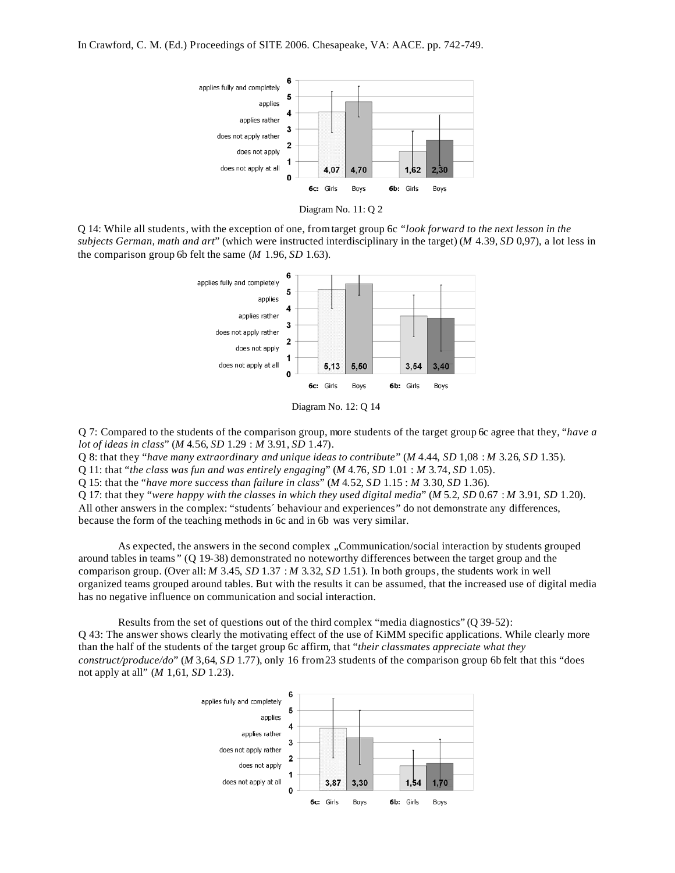



Q 14: While all students, with the exception of one, from target group 6c "*look forward to the next lesson in the subjects German, math and art*" (which were instructed interdisciplinary in the target) (*M* 4.39, *SD* 0,97), a lot less in the comparison group 6b felt the same (*M* 1.96, *SD* 1.63).



Diagram No. 12: Q 14

Q 7: Compared to the students of the comparison group, more students of the target group 6c agree that they, "*have a lot of ideas in class*" (*M* 4.56, *SD* 1.29 : *M* 3.91, *SD* 1.47).

Q 8: that they "*have many extraordinary and unique ideas to contribute*" (*M* 4.44, *SD* 1,08 : *M* 3.26, *SD* 1.35).

Q 11: that "*the class was fun and was entirely engaging*" (*M* 4.76, *SD* 1.01 : *M* 3.74, *SD* 1.05).

Q 15: that the "*have more success than failure in class*" (*M* 4.52, *SD* 1.15 : *M* 3.30, *SD* 1.36).

Q 17: that they "*were happy with the classes in which they used digital media*" (*M* 5.2, *SD* 0.67 : *M* 3.91, *SD* 1.20). All other answers in the complex: "students' behaviour and experiences" do not demonstrate any differences, because the form of the teaching methods in 6c and in 6b was very similar.

As expected, the answers in the second complex "Communication/social interaction by students grouped around tables in teams " (Q 19-38) demonstrated no noteworthy differences between the target group and the comparison group. (Over all: *M* 3.45, *SD* 1.37 : *M* 3.32, *SD* 1.51). In both groups, the students work in well organized teams grouped around tables. But with the results it can be assumed, that the increased use of digital media has no negative influence on communication and social interaction.

Results from the set of questions out of the third complex "media diagnostics" (Q 39-52): Q 43: The answer shows clearly the motivating effect of the use of KiMM specific applications. While clearly more than the half of the students of the target group 6c affirm, that "*their classmates appreciate what they construct/produce/do*" (*M* 3,64, *SD* 1.77), only 16 from 23 students of the comparison group 6b felt that this "does not apply at all" (*M* 1,61, *SD* 1.23).

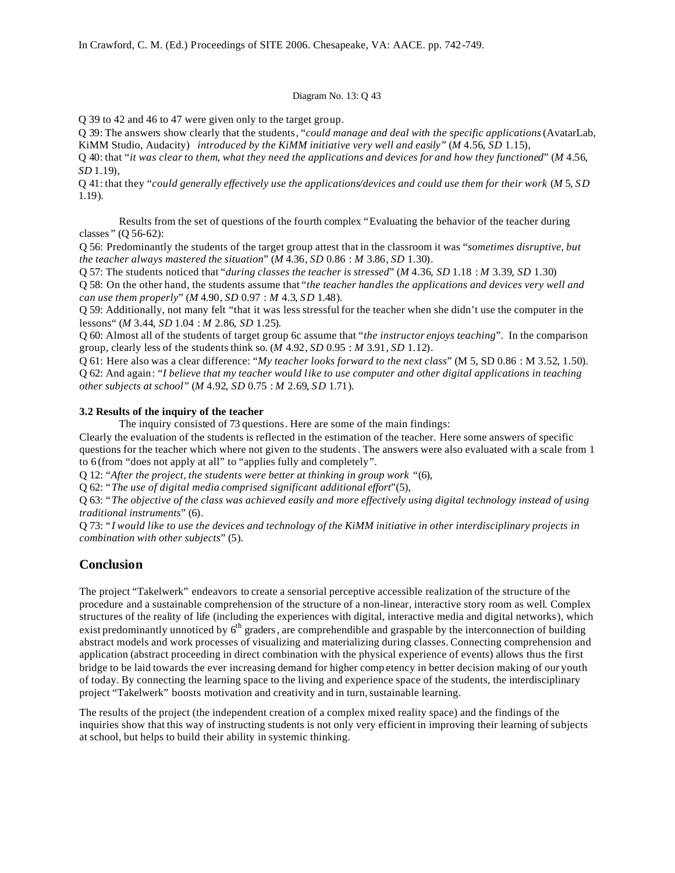#### Diagram No. 13: Q 43

Q 39 to 42 and 46 to 47 were given only to the target group.

Q 39: The answers show clearly that the students, "*could manage and deal with the specific applications*(AvatarLab, KiMM Studio, Audacity) *introduced by the KiMM initiative very well and easily"* (*M* 4.56, *SD* 1.15),

Q 40: that "*it was clear to them, what they need the applications and devices for and how they functioned*" (*M* 4.56, *SD* 1.19),

Q 41: that they "*could generally effectively use the applications/devices and could use them for their work* (*M* 5, *SD* 1.19).

Results from the set of questions of the fourth complex "Evaluating the behavior of the teacher during classes " (Q 56-62):

Q 56: Predominantly the students of the target group attest that in the classroom it was "*sometimes disruptive, but the teacher always mastered the situation*" (*M* 4.36, *SD* 0.86 : *M* 3.86, *SD* 1.30).

Q 57: The students noticed that "*during classes the teacher is stressed*" (*M* 4.36, *SD* 1.18 : *M* 3.39, *SD* 1.30)

Q 58: On the other hand, the students assume that "*the teacher handles the applications and devices very well and can use them properly*" (*M* 4.90, *SD* 0.97 : *M* 4.3, *SD* 1.48).

Q 59: Additionally, not many felt "that it was less stressful for the teacher when she didn't use the computer in the lessons" (*M* 3.44, *SD* 1.04 : *M* 2.86, *SD* 1.25).

Q 60: Almost all of the students of target group 6c assume that "*the instructor enjoys teaching*". In the comparison group, clearly less of the students think so. (*M* 4.92, *SD* 0.95 : *M* 3.91, *SD* 1.12).

Q 61: Here also was a clear difference: "*My teacher looks forward to the next class*" (M 5, SD 0.86 : M 3.52, 1.50). Q 62: And again: "*I believe that my teacher would like to use computer and other digital applications in teaching other subjects at school*" (*M* 4.92, *SD* 0.75 : *M* 2.69, *SD* 1.71).

#### **3.2 Results of the inquiry of the teacher**

The inquiry consisted of 73 questions. Here are some of the main findings:

Clearly the evaluation of the students is reflected in the estimation of the teacher. Here some answers of specific questions for the teacher which where not given to the students. The answers were also evaluated with a scale from 1 to 6 (from "does not apply at all" to "applies fully and completely".

Q 12: "*After the project, the students were better at thinking in group work* "(6),

Q 62: "*The use of digital media comprised significant additional effort*"(5),

Q 63: "*The objective of the class was achieved easily and more effectively using digital technology instead of using traditional instruments*" (6).

Q 73: "*I would like to use the devices and technology of the KiMM initiative in other interdisciplinary projects in combination with other subjects*" (5).

# **Conclusion**

The project "Takelwerk" endeavors to create a sensorial perceptive accessible realization of the structure of the procedure and a sustainable comprehension of the structure of a non-linear, interactive story room as well. Complex structures of the reality of life (including the experiences with digital, interactive media and digital networks), which exist predominantly unnoticed by  $6<sup>th</sup>$  graders, are comprehendible and graspable by the interconnection of building abstract models and work processes of visualizing and materializing during classes. Connecting comprehension and application (abstract proceeding in direct combination with the physical experience of events) allows thus the first bridge to be laid towards the ever increasing demand for higher comp etency in better decision making of our youth of today. By connecting the learning space to the living and experience space of the students, the interdisciplinary project "Takelwerk" boosts motivation and creativity and in turn, sustainable learning.

The results of the project (the independent creation of a complex mixed reality space) and the findings of the inquiries show that this way of instructing students is not only very efficient in improving their learning of subjects at school, but helps to build their ability in systemic thinking.